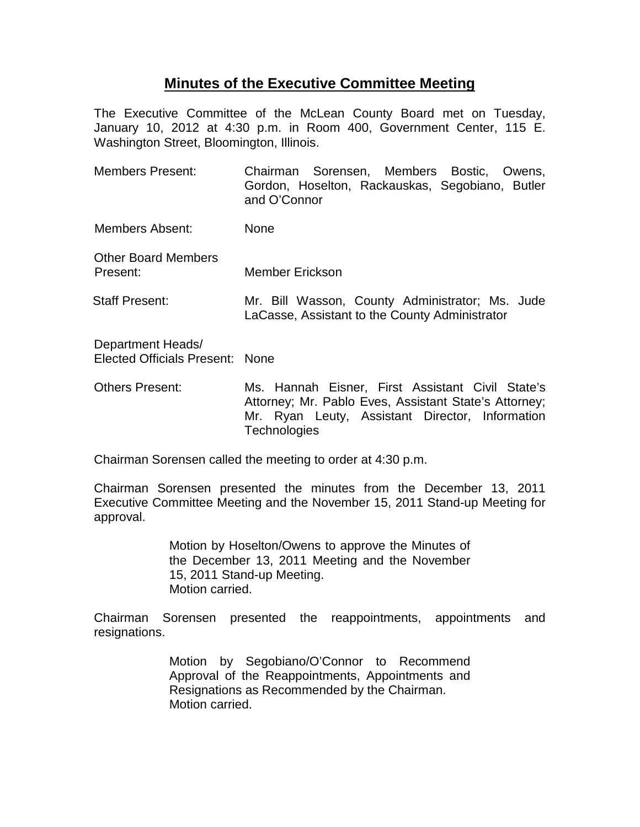## **Minutes of the Executive Committee Meeting**

The Executive Committee of the McLean County Board met on Tuesday, January 10, 2012 at 4:30 p.m. in Room 400, Government Center, 115 E. Washington Street, Bloomington, Illinois.

| <b>Members Present:</b>                              | Chairman Sorensen, Members Bostic, Owens,<br>Gordon, Hoselton, Rackauskas, Segobiano, Butler<br>and O'Connor |
|------------------------------------------------------|--------------------------------------------------------------------------------------------------------------|
| Members Absent:                                      | None                                                                                                         |
| <b>Other Board Members</b><br>Present:               | <b>Member Erickson</b>                                                                                       |
| <b>Staff Present:</b>                                | Mr. Bill Wasson, County Administrator; Ms. Jude<br>LaCasse, Assistant to the County Administrator            |
| Department Heads/<br>Elected Officials Present: None |                                                                                                              |
| <b>Others Present:</b>                               | Ms. Hannah Eisner, First Assistant Civil State's<br>Attorney; Mr. Pablo Eves, Assistant State's Attorney;    |

Chairman Sorensen called the meeting to order at 4:30 p.m.

**Technologies** 

Chairman Sorensen presented the minutes from the December 13, 2011 Executive Committee Meeting and the November 15, 2011 Stand-up Meeting for approval.

Mr. Ryan Leuty, Assistant Director, Information

Motion by Hoselton/Owens to approve the Minutes of the December 13, 2011 Meeting and the November 15, 2011 Stand-up Meeting. Motion carried.

Chairman Sorensen presented the reappointments, appointments and resignations.

> Motion by Segobiano/O'Connor to Recommend Approval of the Reappointments, Appointments and Resignations as Recommended by the Chairman. Motion carried.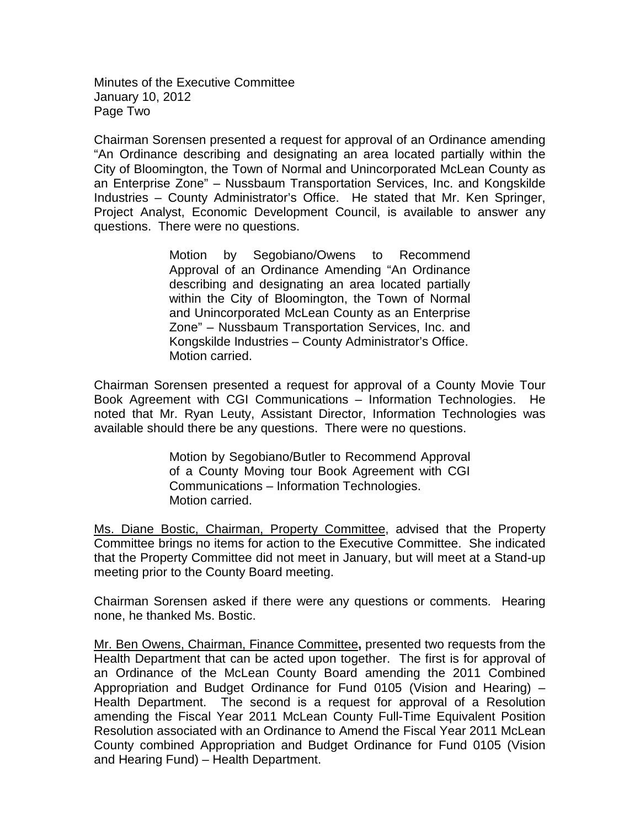Minutes of the Executive Committee January 10, 2012 Page Two

Chairman Sorensen presented a request for approval of an Ordinance amending "An Ordinance describing and designating an area located partially within the City of Bloomington, the Town of Normal and Unincorporated McLean County as an Enterprise Zone" – Nussbaum Transportation Services, Inc. and Kongskilde Industries – County Administrator's Office. He stated that Mr. Ken Springer, Project Analyst, Economic Development Council, is available to answer any questions. There were no questions.

> Motion by Segobiano/Owens to Recommend Approval of an Ordinance Amending "An Ordinance describing and designating an area located partially within the City of Bloomington, the Town of Normal and Unincorporated McLean County as an Enterprise Zone" – Nussbaum Transportation Services, Inc. and Kongskilde Industries – County Administrator's Office. Motion carried.

Chairman Sorensen presented a request for approval of a County Movie Tour Book Agreement with CGI Communications – Information Technologies. He noted that Mr. Ryan Leuty, Assistant Director, Information Technologies was available should there be any questions. There were no questions.

> Motion by Segobiano/Butler to Recommend Approval of a County Moving tour Book Agreement with CGI Communications – Information Technologies. Motion carried.

Ms. Diane Bostic, Chairman, Property Committee, advised that the Property Committee brings no items for action to the Executive Committee. She indicated that the Property Committee did not meet in January, but will meet at a Stand-up meeting prior to the County Board meeting.

Chairman Sorensen asked if there were any questions or comments. Hearing none, he thanked Ms. Bostic.

Mr. Ben Owens, Chairman, Finance Committee**,** presented two requests from the Health Department that can be acted upon together. The first is for approval of an Ordinance of the McLean County Board amending the 2011 Combined Appropriation and Budget Ordinance for Fund 0105 (Vision and Hearing) – Health Department. The second is a request for approval of a Resolution amending the Fiscal Year 2011 McLean County Full-Time Equivalent Position Resolution associated with an Ordinance to Amend the Fiscal Year 2011 McLean County combined Appropriation and Budget Ordinance for Fund 0105 (Vision and Hearing Fund) – Health Department.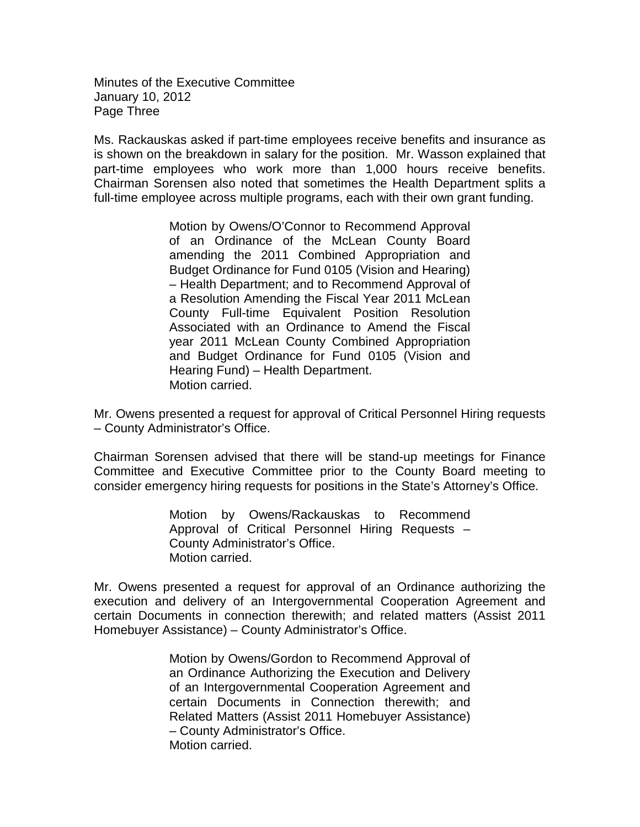Minutes of the Executive Committee January 10, 2012 Page Three

Ms. Rackauskas asked if part-time employees receive benefits and insurance as is shown on the breakdown in salary for the position. Mr. Wasson explained that part-time employees who work more than 1,000 hours receive benefits. Chairman Sorensen also noted that sometimes the Health Department splits a full-time employee across multiple programs, each with their own grant funding.

> Motion by Owens/O'Connor to Recommend Approval of an Ordinance of the McLean County Board amending the 2011 Combined Appropriation and Budget Ordinance for Fund 0105 (Vision and Hearing) – Health Department; and to Recommend Approval of a Resolution Amending the Fiscal Year 2011 McLean County Full-time Equivalent Position Resolution Associated with an Ordinance to Amend the Fiscal year 2011 McLean County Combined Appropriation and Budget Ordinance for Fund 0105 (Vision and Hearing Fund) – Health Department. Motion carried.

Mr. Owens presented a request for approval of Critical Personnel Hiring requests – County Administrator's Office.

Chairman Sorensen advised that there will be stand-up meetings for Finance Committee and Executive Committee prior to the County Board meeting to consider emergency hiring requests for positions in the State's Attorney's Office.

> Motion by Owens/Rackauskas to Recommend Approval of Critical Personnel Hiring Requests – County Administrator's Office. Motion carried.

Mr. Owens presented a request for approval of an Ordinance authorizing the execution and delivery of an Intergovernmental Cooperation Agreement and certain Documents in connection therewith; and related matters (Assist 2011 Homebuyer Assistance) – County Administrator's Office.

> Motion by Owens/Gordon to Recommend Approval of an Ordinance Authorizing the Execution and Delivery of an Intergovernmental Cooperation Agreement and certain Documents in Connection therewith; and Related Matters (Assist 2011 Homebuyer Assistance) – County Administrator's Office. Motion carried.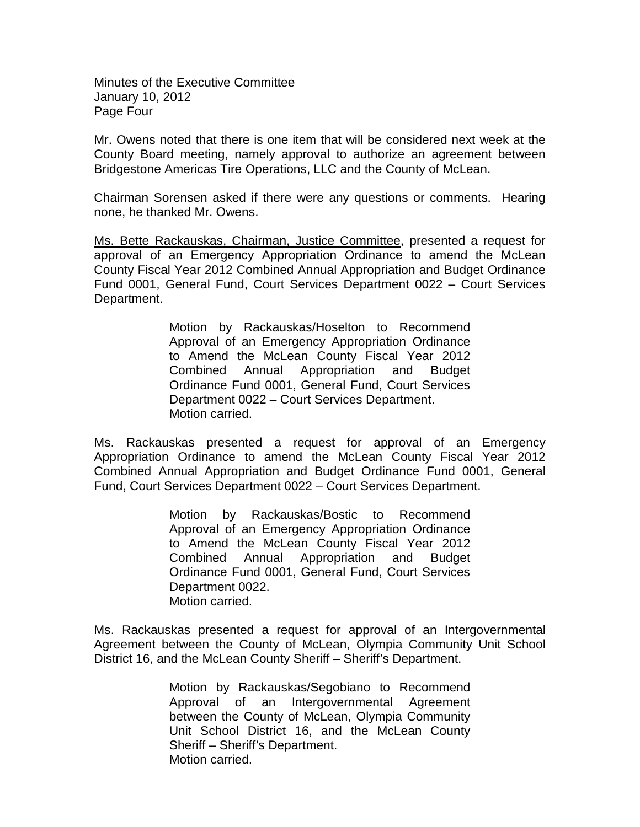Minutes of the Executive Committee January 10, 2012 Page Four

Mr. Owens noted that there is one item that will be considered next week at the County Board meeting, namely approval to authorize an agreement between Bridgestone Americas Tire Operations, LLC and the County of McLean.

Chairman Sorensen asked if there were any questions or comments. Hearing none, he thanked Mr. Owens.

Ms. Bette Rackauskas, Chairman, Justice Committee, presented a request for approval of an Emergency Appropriation Ordinance to amend the McLean County Fiscal Year 2012 Combined Annual Appropriation and Budget Ordinance Fund 0001, General Fund, Court Services Department 0022 – Court Services Department.

> Motion by Rackauskas/Hoselton to Recommend Approval of an Emergency Appropriation Ordinance to Amend the McLean County Fiscal Year 2012 Combined Annual Appropriation and Budget Ordinance Fund 0001, General Fund, Court Services Department 0022 – Court Services Department. Motion carried.

Ms. Rackauskas presented a request for approval of an Emergency Appropriation Ordinance to amend the McLean County Fiscal Year 2012 Combined Annual Appropriation and Budget Ordinance Fund 0001, General Fund, Court Services Department 0022 – Court Services Department.

> Motion by Rackauskas/Bostic to Recommend Approval of an Emergency Appropriation Ordinance to Amend the McLean County Fiscal Year 2012 Combined Annual Appropriation and Budget Ordinance Fund 0001, General Fund, Court Services Department 0022. Motion carried.

Ms. Rackauskas presented a request for approval of an Intergovernmental Agreement between the County of McLean, Olympia Community Unit School District 16, and the McLean County Sheriff – Sheriff's Department.

> Motion by Rackauskas/Segobiano to Recommend Approval of an Intergovernmental Agreement between the County of McLean, Olympia Community Unit School District 16, and the McLean County Sheriff – Sheriff's Department. Motion carried.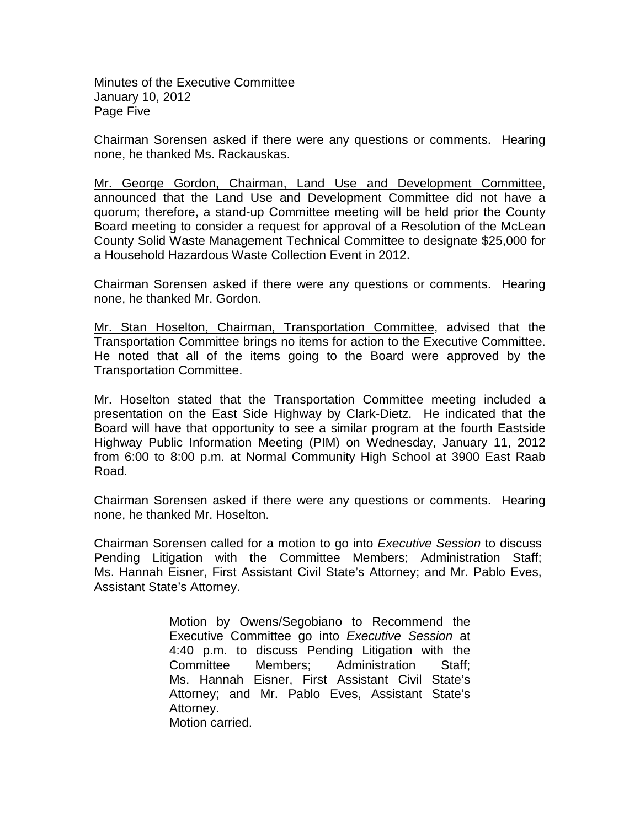Minutes of the Executive Committee January 10, 2012 Page Five

Chairman Sorensen asked if there were any questions or comments. Hearing none, he thanked Ms. Rackauskas.

Mr. George Gordon, Chairman, Land Use and Development Committee, announced that the Land Use and Development Committee did not have a quorum; therefore, a stand-up Committee meeting will be held prior the County Board meeting to consider a request for approval of a Resolution of the McLean County Solid Waste Management Technical Committee to designate \$25,000 for a Household Hazardous Waste Collection Event in 2012.

Chairman Sorensen asked if there were any questions or comments. Hearing none, he thanked Mr. Gordon.

Mr. Stan Hoselton, Chairman, Transportation Committee, advised that the Transportation Committee brings no items for action to the Executive Committee. He noted that all of the items going to the Board were approved by the Transportation Committee.

Mr. Hoselton stated that the Transportation Committee meeting included a presentation on the East Side Highway by Clark-Dietz. He indicated that the Board will have that opportunity to see a similar program at the fourth Eastside Highway Public Information Meeting (PIM) on Wednesday, January 11, 2012 from 6:00 to 8:00 p.m. at Normal Community High School at 3900 East Raab Road.

Chairman Sorensen asked if there were any questions or comments. Hearing none, he thanked Mr. Hoselton.

Chairman Sorensen called for a motion to go into *Executive Session* to discuss Pending Litigation with the Committee Members; Administration Staff; Ms. Hannah Eisner, First Assistant Civil State's Attorney; and Mr. Pablo Eves, Assistant State's Attorney.

> Motion by Owens/Segobiano to Recommend the Executive Committee go into *Executive Session* at 4:40 p.m. to discuss Pending Litigation with the Committee Members; Administration Staff; Ms. Hannah Eisner, First Assistant Civil State's Attorney; and Mr. Pablo Eves, Assistant State's Attorney. Motion carried.